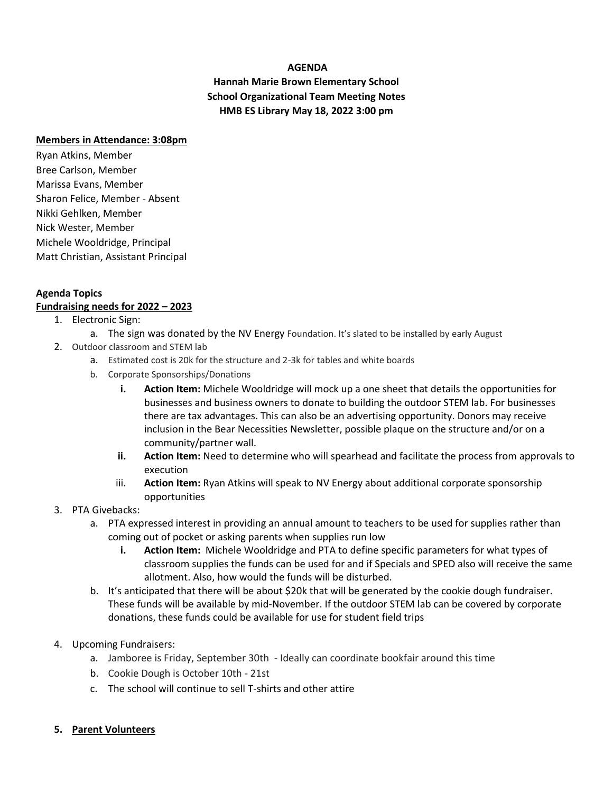## **AGENDA**

**Hannah Marie Brown Elementary School School Organizational Team Meeting Notes HMB ES Library May 18, 2022 3:00 pm**

## **Members in Attendance: 3:08pm**

Ryan Atkins, Member Bree Carlson, Member Marissa Evans, Member Sharon Felice, Member - Absent Nikki Gehlken, Member Nick Wester, Member Michele Wooldridge, Principal Matt Christian, Assistant Principal

## **Agenda Topics Fundraising needs for 2022 – 2023**

- 1. Electronic Sign:
	- a. The sign was donated by the NV Energy Foundation. It's slated to be installed by early August
- 2. Outdoor classroom and STEM lab
	- a. Estimated cost is 20k for the structure and 2-3k for tables and white boards
	- b. Corporate Sponsorships/Donations
		- **i. Action Item:** Michele Wooldridge will mock up a one sheet that details the opportunities for businesses and business owners to donate to building the outdoor STEM lab. For businesses there are tax advantages. This can also be an advertising opportunity. Donors may receive inclusion in the Bear Necessities Newsletter, possible plaque on the structure and/or on a community/partner wall.
		- **ii. Action Item:** Need to determine who will spearhead and facilitate the process from approvals to execution
		- iii. **Action Item:** Ryan Atkins will speak to NV Energy about additional corporate sponsorship opportunities

# 3. PTA Givebacks:

- a. PTA expressed interest in providing an annual amount to teachers to be used for supplies rather than coming out of pocket or asking parents when supplies run low
	- **i. Action Item:** Michele Wooldridge and PTA to define specific parameters for what types of classroom supplies the funds can be used for and if Specials and SPED also will receive the same allotment. Also, how would the funds will be disturbed.
- b. It's anticipated that there will be about \$20k that will be generated by the cookie dough fundraiser. These funds will be available by mid-November. If the outdoor STEM lab can be covered by corporate donations, these funds could be available for use for student field trips
- 4. Upcoming Fundraisers:
	- a. Jamboree is Friday, September 30th Ideally can coordinate bookfair around this time
	- b. Cookie Dough is October 10th 21st
	- c. The school will continue to sell T-shirts and other attire
- **5. Parent Volunteers**